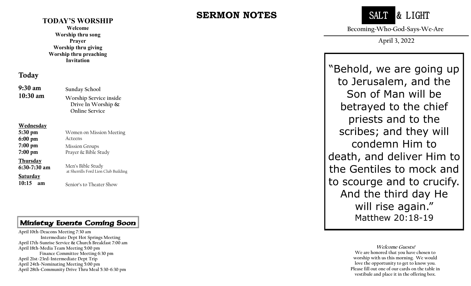#### **TODAY'S WORSHIP**

**Welcome Worship thru song Prayer Worship thru giving Worship thru preaching Invitation**

### Today

| 9:30 am<br>$10:30$ am                              | <b>Sunday School</b><br>Worship Service inside<br>Drive In Worship &<br><b>Online Service</b> |
|----------------------------------------------------|-----------------------------------------------------------------------------------------------|
| <b>Wednesday</b>                                   |                                                                                               |
| 5:30 pm                                            | Women on Mission Meeting                                                                      |
| 6:00 pm                                            | Acteens                                                                                       |
| 7:00 pm                                            | <b>Mission Groups</b>                                                                         |
| 7:00 pm                                            | Prayer & Bible Study                                                                          |
| <u>Thursday</u><br>6:30-7:30 am<br><u>Saturday</u> | Men's Bible Study<br>at Sherrills Ford Lion Club Building                                     |
| 10:15<br>am                                        | Senior's to Theater Show                                                                      |

### Ministry Events Coming Soon

 **April 18th -Media Team Meeting 5:00 pm April 10th -Deacons Meeting 7:30 am Intermediate Dept Hot Springs Meeting April 17th -Sunrise Service & Church Breakfast 7:00 am Finance Committee Meeting 6:30 pm April 21st -23rd -Intermediate Dept Trip April 24th -Nominating Meeting 5:00 pm April 28th -Community Drive Thru Meal 5:30 -6:30 pm**

# **SERMON NOTES**



**Becoming~Who~God~Says~We~Are**

**April 3, 2022**

"Behold, we are going up to Jerusalem, and the Son of Man will be betrayed to the chief priests and to the scribes; and they will condemn Him to death, and deliver Him to the Gentiles to mock and to scourge and to crucify. And the third day He will rise again." Matthew 20:18 -19

> **Welcome Guests! We are honored that you have chosen to worship with us this morning. We would love the opportunity to get to know you. Please fill out one of our cards on the table in vestibule and place it in the offering box.**